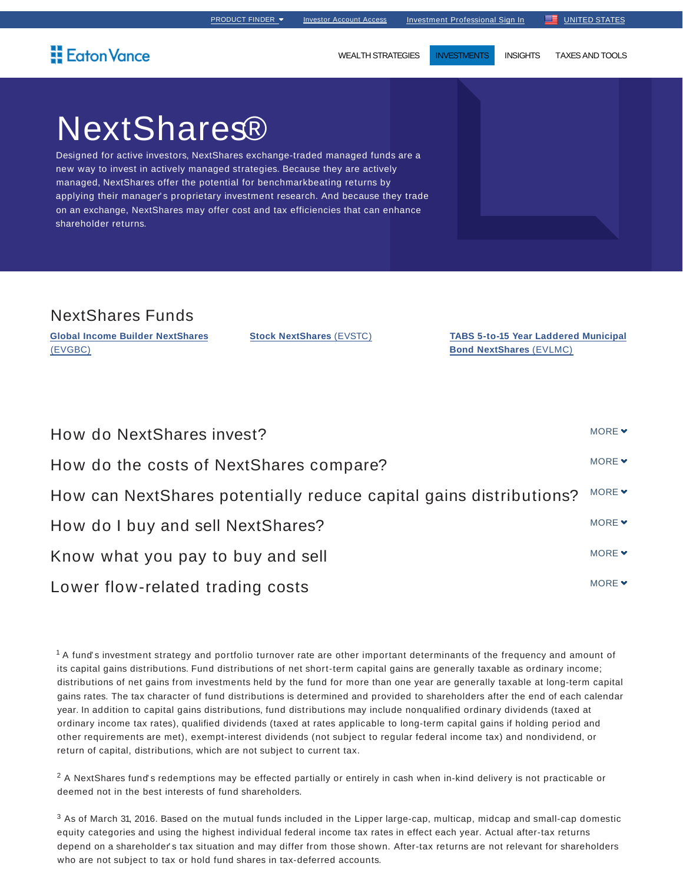Eaton Vance

WEALTH STRATEGIES **INVESTMENTS** INSIGHTS TAXES AND TOOLS

# **NextShares®**

shareholder returns. Designed for active investors, NextShares exchange-traded managed funds are a new way to invest in actively managed strategies. Because they are actively managed, NextShares offer the potential for benchmarkbeating returns by applying their manager's proprietary investment research. And because they trade on an exchange, NextShares may offer cost and tax efficiencies that can enhance

## NextShares Funds

**Global Income Builder NextShares** (EVGBC)

**Stock NextShares** (EVSTC) **TABS 5-to-15 Year Laddered Municipal Bond NextShares** (EVLMC)

| How do NextShares invest?                                          | $MORE \, \vee$     |
|--------------------------------------------------------------------|--------------------|
| How do the costs of NextShares compare?                            | MOREV              |
| How can NextShares potentially reduce capital gains distributions? | $MORE \rightarrow$ |
| How do I buy and sell NextShares?                                  | MOREV              |
| Know what you pay to buy and sell                                  | MOREV              |
| Lower flow-related trading costs                                   | MOREV              |

 $1$  A fund's investment strategy and portfolio turnover rate are other important determinants of the frequency and amount of its capital gains distributions. Fund distributions of net short-term capital gains are generally taxable as ordinary income; distributions of net gains from investments held by the fund for more than one year are generally taxable at long-term capital gains rates. The tax character of fund distributions is determined and provided to shareholders after the end of each calendar year. In addition to capital gains distributions, fund distributions may include nonqualified ordinary dividends (taxed at ordinary income tax rates), qualified dividends (taxed at rates applicable to long-term capital gains if holding period and other requirements are met), exempt-interest dividends (not subject to regular federal income tax) and nondividend, or return of capital, distributions, which are not subject to current tax.

 $^2$  A NextShares fund's redemptions may be effected partially or entirely in cash when in-kind delivery is not practicable or deemed not in the best interests of fund shareholders.

 $^3$  As of March 31, 2016. Based on the mutual funds included in the Lipper large-cap, multicap, midcap and small-cap domestic equity categories and using the highest individual federal income tax rates in effect each year. Actual after-tax returns depend on a shareholder's tax situation and may differ from those shown. After-tax returns are not relevant for shareholders who are not subject to tax or hold fund shares in tax-deferred accounts.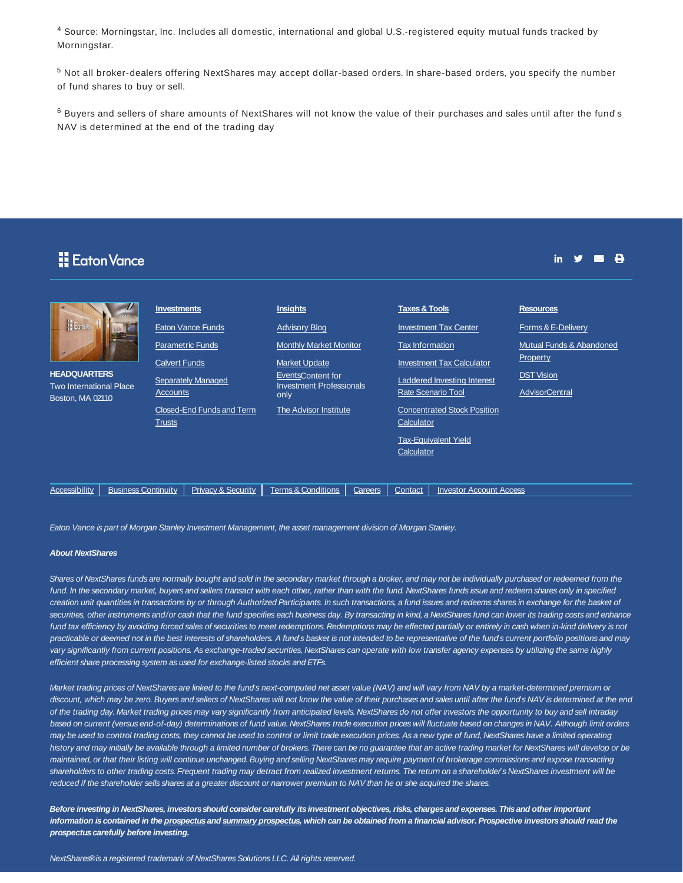$4$  Source: Morningstar, Inc. Includes all domestic, international and global U.S.-registered equity mutual funds tracked by Morningstar.

 $^5$  Not all broker-dealers offering NextShares may accept dollar-based orders. In share-based orders, you specify the number of fund shares to buy or sell.

 $^6$  Buyers and sellers of share amounts of NextShares will not know the value of their purchases and sales until after the fund's NAV is determined at the end of the trading day

## **Eaton Vance**

in  $y = \theta$ 

| H Eoton's                                   |                            | <b>Investments</b>   |                               | <b>Insights</b>                         |         | <b>Taxes &amp; Tools</b> |                                    | <b>Resources</b>         |
|---------------------------------------------|----------------------------|----------------------|-------------------------------|-----------------------------------------|---------|--------------------------|------------------------------------|--------------------------|
|                                             |                            |                      | <b>Eaton Vance Funds</b>      | <b>Advisory Blog</b>                    |         |                          | <b>Investment Tax Center</b>       | Forms & E-Delivery       |
|                                             |                            |                      | <b>Parametric Funds</b>       | <b>Monthly Market Monitor</b>           |         | <b>Tax Information</b>   |                                    | Mutual Funds & Abandoned |
|                                             |                            | <b>Calvert Funds</b> |                               | <b>Market Update</b>                    |         |                          | <b>Investment Tax Calculator</b>   | Property                 |
| <b>HEADQUARTERS</b>                         |                            |                      | <b>Separately Managed</b>     | EventsContent for                       |         |                          | <b>Laddered Investing Interest</b> | <b>DST Vision</b>        |
| Two International Place<br>Boston, MA 02110 |                            | <b>Accounts</b>      |                               | <b>Investment Professionals</b><br>only |         |                          | <b>Rate Scenario Tool</b>          | <b>AdvisorCentral</b>    |
|                                             |                            |                      | Closed-End Funds and Term     | The Advisor Institute                   |         |                          | <b>Concentrated Stock Position</b> |                          |
|                                             |                            | <b>Trusts</b>        |                               |                                         |         | Calculator               |                                    |                          |
|                                             |                            |                      |                               |                                         |         |                          | <b>Tax-Equivalent Yield</b>        |                          |
|                                             |                            |                      |                               |                                         |         | Calculator               |                                    |                          |
|                                             |                            |                      |                               |                                         |         |                          |                                    |                          |
| <b>Accessibility</b>                        | <b>Business Continuity</b> |                      | <b>Privacy &amp; Security</b> | <b>Terms &amp; Conditions</b>           | Careers | Contact                  | <b>Investor Account Access</b>     |                          |

Eaton Vance is part of Morgan Stanley Investment Management, the asset management division of Morgan Stanley.

#### **About NextShares**

Shares of NextShares funds are normally bought and sold in the secondary market through a broker, and may not be individually purchased or redeemed from the fund. In the secondary market, buyers and sellers transact with each other, rather than with the fund. NextShares funds issue and redeem shares only in specified creation unit quantities in transactions by or through Authorized Participants. In such transactions, a fund issues and redeems shares in exchange for the basket of securities, other instruments and/or cash that the fund specifies each business day. By transacting in kind, a NextShares fund can lower its trading costs and enhance fund tax efficiency by avoiding forced sales of securities to meet redemptions. Redemptions may be effected partially or entirely in cash when in-kind delivery is not practicable or deemed not in the best interests of shareholders. A fund's basket is not intended to be representative of the fund's current portfolio positions and may vary significantly from current positions. As exchange-traded securities, NextShares can operate with low transfer agency expenses by utilizing the same highly efficient share processing system as used for exchange-listed stocks and ETFs.

Market trading prices of NextShares are linked to the fund's next-computed net asset value (NAV) and will vary from NAV by a market-determined premium or discount, which may be zero. Buyers and sellers of NextShares will not know the value of their purchases and sales until after the fund's NAV is determined at the end of the trading day. Market trading prices may vary significantly from anticipated levels. NextShares do not offer investors the opportunity to buy and sell intraday based on current (versus end-of-day) determinations of fund value. NextShares trade execution prices will fluctuate based on changes in NAV. Although limit orders may be used to control trading costs, they cannot be used to control or limit trade execution prices. As a new type of fund, NextShares have a limited operating history and may initially be available through a limited number of brokers. There can be no guarantee that an active trading market for NextShares will develop or be maintained, or that their listing will continue unchanged. Buying and selling NextShares may require payment of brokerage commissions and expose transacting shareholders to other trading costs. Frequent trading may detract from realized investment returns. The return on a shareholder's NextShares investment will be reduced if the shareholder sells shares at a greater discount or narrower premium to NAV than he or she acquired the shares.

Before investing in NextShares, investors should consider carefully its investment objectives, risks, charges and expenses. This and other important **information is contained in the prospectus and summary prospectus, which can be obtained from a financial advisor. Prospective investorsshould read the prospectus carefully before investing.**